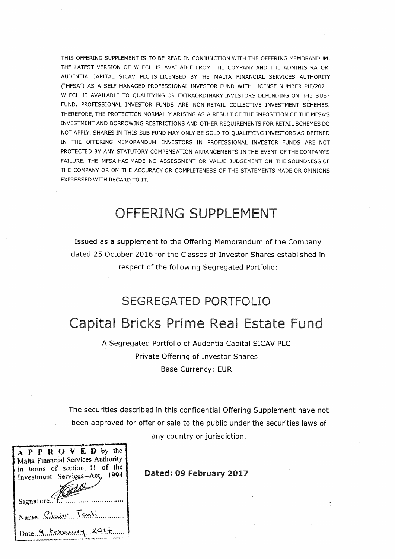THIS OFFERING SUPPLEMENT IS TO BE READ IN CONJUNCTION WITH THE OFFERING MEMORANDUM. THE LATEST VERSION OF WHICH IS AVAILABLE FROM THE COMPANY AND THE ADMINISTRATOR. AUDENTIA CAPITAL SICAV PLC IS LICENSED BY THE MALTA FINANCIAL SERVICES AUTHORITY ("MFSA") AS A SELF-MANAGED PROFESSIONAL INVESTOR FUND WITH LICENSE NUMBER PIF/207 WHICH IS AVAILABLE TO QUALIFYING OR EXTRAORDINARY INVESTORS DEPENDING ON THE SUB-FUND. PROFESSIONAL INVESTOR FUNDS ARE NON-RETAIL COLLECTIVE INVESTMENT SCHEMES. THEREFORE, THE PROTECTION NORMALLY ARISING AS A RESULT OF THE IMPOSITION OF THE MFSA'S INVESTMENT AND BORROWING RESTRICTIONS AND OTHER REQUIREMENTS FOR RETAIL SCHEMES DO NOT APPLY. SHARES IN THIS SUB-FUND MAY ONLY BE SOLD TO QUALIFYING INVESTORS AS DEFINED IN THE OFFERING MEMORANDUM, INVESTORS IN PROFESSIONAL INVESTOR FUNDS ARE NOT PROTECTED BY ANY STATUTORY COMPENSATION ARRANGEMENTS IN THE EVENT OF THE COMPANY'S FAILURE. THE MFSA HAS MADE NO ASSESSMENT OR VALUE JUDGEMENT ON THE SOUNDNESS OF THE COMPANY OR ON THE ACCURACY OR COMPLETENESS OF THE STATEMENTS MADE OR OPINIONS EXPRESSED WITH REGARD TO IT.

# OFFERING SUPPLEMENT

Issued as a supplement to the Offering Memorandum of the Company dated 25 October 2016 for the Classes of Investor Shares established in respect of the following Segregated Portfolio:

# SEGREGATED PORTFOLIO

# Capital Bricks Prime Real Estate Fund

A Segregated Portfolio of Audentia Capital SICAV PLC Private Offering of Investor Shares **Base Currency: EUR** 

The securities described in this confidential Offering Supplement have not been approved for offer or sale to the public under the securities laws of any country or jurisdiction.

| A P P R O V E D by the<br>Malta Financial Services Authority<br>in terms of section 11 of the<br>Investment Services Act, 1994 |
|--------------------------------------------------------------------------------------------------------------------------------|
| Signature                                                                                                                      |
| Name Claire Tanti                                                                                                              |
| Date 9 February 2017                                                                                                           |

Dated: 09 February 2017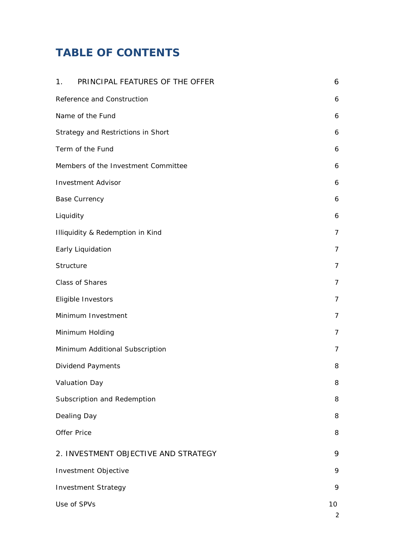# **TABLE OF CONTENTS**

| PRINCIPAL FEATURES OF THE OFFER<br>1 <sub>1</sub> | 6                    |
|---------------------------------------------------|----------------------|
| Reference and Construction                        | 6                    |
| Name of the Fund                                  | 6                    |
| Strategy and Restrictions in Short                | 6                    |
| Term of the Fund                                  | 6                    |
| Members of the Investment Committee               | 6                    |
| <b>Investment Advisor</b>                         | 6                    |
| <b>Base Currency</b>                              | 6                    |
| Liquidity                                         | 6                    |
| Illiquidity & Redemption in Kind                  | $\overline{7}$       |
| Early Liquidation                                 | $\overline{7}$       |
| Structure                                         | $\overline{7}$       |
| Class of Shares                                   | $\overline{7}$       |
| Eligible Investors                                | 7                    |
| Minimum Investment                                | 7                    |
| Minimum Holding                                   | 7                    |
| Minimum Additional Subscription                   | 7                    |
| Dividend Payments                                 | 8                    |
| Valuation Day                                     | 8                    |
| Subscription and Redemption                       | 8                    |
| Dealing Day                                       | 8                    |
| <b>Offer Price</b>                                | 8                    |
| 2. INVESTMENT OBJECTIVE AND STRATEGY              | 9                    |
| Investment Objective                              | 9                    |
| <b>Investment Strategy</b>                        | 9                    |
| Use of SPVs                                       | 10<br>$\overline{2}$ |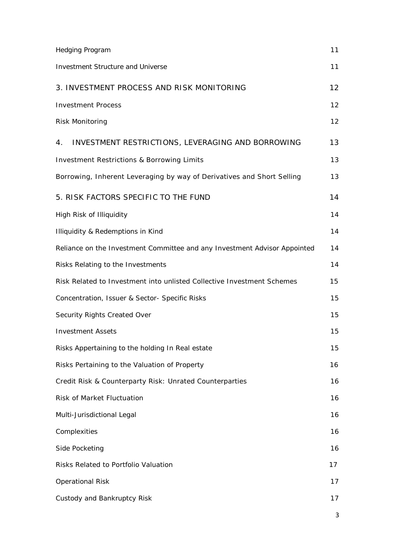| <b>Hedging Program</b>                                                    | 11                |
|---------------------------------------------------------------------------|-------------------|
| <b>Investment Structure and Universe</b>                                  | 11                |
| 3. INVESTMENT PROCESS AND RISK MONITORING                                 | $12 \overline{ }$ |
| <b>Investment Process</b>                                                 | 12                |
| <b>Risk Monitoring</b>                                                    | 12                |
| 4. INVESTMENT RESTRICTIONS, LEVERAGING AND BORROWING                      | 13                |
| <b>Investment Restrictions &amp; Borrowing Limits</b>                     | 13                |
| Borrowing, Inherent Leveraging by way of Derivatives and Short Selling    | 13                |
| 5. RISK FACTORS SPECIFIC TO THE FUND                                      | 14                |
| High Risk of Illiquidity                                                  | 14                |
| Illiquidity & Redemptions in Kind                                         | 14                |
| Reliance on the Investment Committee and any Investment Advisor Appointed | 14                |
| Risks Relating to the Investments                                         | 14                |
| Risk Related to Investment into unlisted Collective Investment Schemes    | 15                |
| Concentration, Issuer & Sector- Specific Risks                            | 15                |
| Security Rights Created Over                                              | 15                |
| <b>Investment Assets</b>                                                  | 15                |
| Risks Appertaining to the holding In Real estate                          | 15                |
| Risks Pertaining to the Valuation of Property                             | 16                |
| Credit Risk & Counterparty Risk: Unrated Counterparties                   | 16                |
| Risk of Market Fluctuation                                                | 16                |
| Multi-Jurisdictional Legal                                                | 16                |
| Complexities                                                              | 16                |
| Side Pocketing                                                            | 16                |
| Risks Related to Portfolio Valuation                                      | 17                |
| <b>Operational Risk</b>                                                   | 17                |
| Custody and Bankruptcy Risk                                               | 17                |
|                                                                           | 3                 |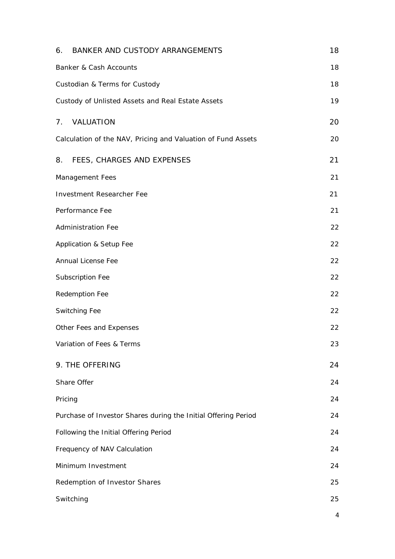| 6. BANKER AND CUSTODY ARRANGEMENTS                             | 18 |
|----------------------------------------------------------------|----|
| Banker & Cash Accounts                                         | 18 |
| Custodian & Terms for Custody                                  | 18 |
| Custody of Unlisted Assets and Real Estate Assets              | 19 |
| 7. VALUATION                                                   | 20 |
| Calculation of the NAV, Pricing and Valuation of Fund Assets   | 20 |
| FEES, CHARGES AND EXPENSES<br>8.                               | 21 |
| Management Fees                                                | 21 |
| <b>Investment Researcher Fee</b>                               | 21 |
| Performance Fee                                                | 21 |
| <b>Administration Fee</b>                                      | 22 |
| Application & Setup Fee                                        | 22 |
| Annual License Fee                                             | 22 |
| Subscription Fee                                               | 22 |
| Redemption Fee                                                 | 22 |
| Switching Fee                                                  | 22 |
| Other Fees and Expenses                                        | 22 |
| Variation of Fees & Terms                                      | 23 |
| 9. THE OFFERING                                                | 24 |
| Share Offer                                                    | 24 |
| Pricing                                                        | 24 |
| Purchase of Investor Shares during the Initial Offering Period | 24 |
| Following the Initial Offering Period                          | 24 |
| Frequency of NAV Calculation                                   | 24 |
| Minimum Investment                                             | 24 |
| Redemption of Investor Shares                                  | 25 |
| Switching                                                      | 25 |
|                                                                | 4  |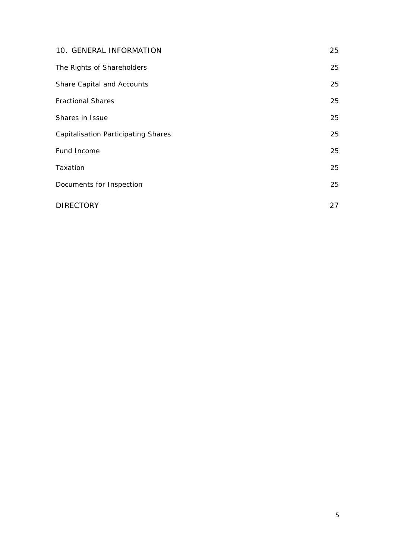| 10. GENERAL INFORMATION                    | 25 |
|--------------------------------------------|----|
| The Rights of Shareholders                 | 25 |
| Share Capital and Accounts                 | 25 |
| <b>Fractional Shares</b>                   | 25 |
| Shares in Issue                            | 25 |
| <b>Capitalisation Participating Shares</b> | 25 |
| Fund Income                                | 25 |
| Taxation                                   | 25 |
| Documents for Inspection                   | 25 |
| <b>DIRECTORY</b>                           | 27 |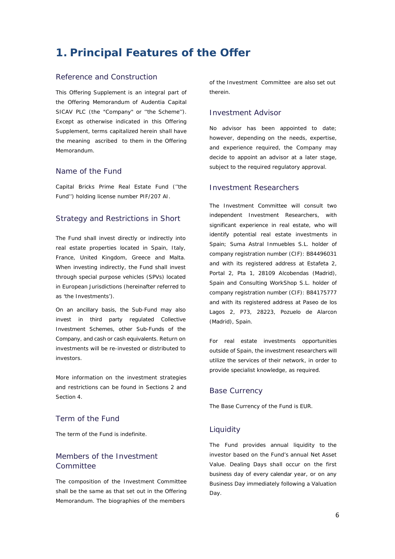# <span id="page-5-0"></span>**1. Principal Features of the Offer**

# <span id="page-5-1"></span>Reference and Construction

This Offering Supplement is an integral part of the Offering Memorandum of Audentia Capital SICAV PLC (the "Company" or ''the Scheme''). Except as otherwise indicated in this Offering Supplement, terms capitalized herein shall have the meaning ascribed to them in the Offering Memorandum.

#### <span id="page-5-2"></span>Name of the Fund

Capital Bricks Prime Real Estate Fund (''the Fund'') holding license number PIF/207 AI.

#### <span id="page-5-3"></span>Strategy and Restrictions in Short

The Fund shall invest directly or indirectly into real estate properties located in Spain, Italy, France, United Kingdom, Greece and Malta. When investing indirectly, the Fund shall invest through special purpose vehicles (SPVs) located in European Jurisdictions (hereinafter referred to as 'the Investments').

On an ancillary basis, the Sub-Fund may also invest in third party regulated Collective Investment Schemes, other Sub-Funds of the Company, and cash or cash equivalents. Return on investments will be re-invested or distributed to investors.

More information on the investment strategies and restrictions can be found in Sections 2 and Section 4.

# <span id="page-5-4"></span>Term of the Fund

The term of the Fund is indefinite.

# <span id="page-5-5"></span>Members of the Investment Committee

The composition of the Investment Committee shall be the same as that set out in the Offering Memorandum. The biographies of the members

of the Investment Committee are also set out therein.

# <span id="page-5-6"></span>Investment Advisor

No advisor has been appointed to date; however, depending on the needs, expertise, and experience required, the Company may decide to appoint an advisor at a later stage, subject to the required regulatory approval.

#### Investment Researchers

The Investment Committee will consult two independent Investment Researchers, with significant experience in real estate, who will identify potential real estate investments in Spain; Suma Astral Inmuebles S.L. holder of company registration number (CIF): B84496031 and with its registered address at Estafeta 2, Portal 2, Pta 1, 28109 Alcobendas (Madrid), Spain and Consulting WorkShop S.L. holder of company registration number (CIF): B84175777 and with its registered address at Paseo de los Lagos 2, P73, 28223, Pozuelo de Alarcon (Madrid), Spain.

For real estate investments opportunities outside of Spain, the investment researchers will utilize the services of their network, in order to provide specialist knowledge, as required.

#### <span id="page-5-7"></span>Base Currency

The Base Currency of the Fund is EUR.

#### <span id="page-5-8"></span>**Liquidity**

The Fund provides annual liquidity to the investor based on the Fund's annual Net Asset Value. Dealing Days shall occur on the first business day of every calendar year, or on any Business Day immediately following a Valuation Day.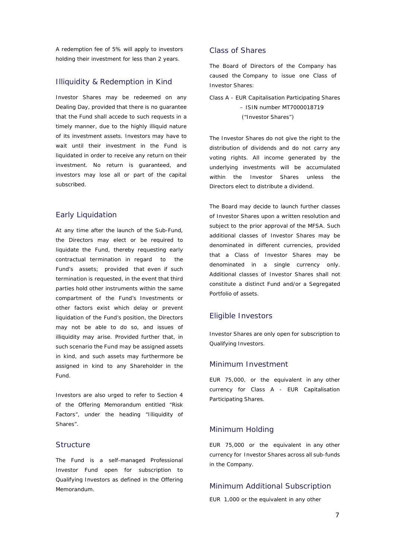A redemption fee of 5% will apply to investors holding their investment for less than 2 years.

#### <span id="page-6-0"></span>Illiquidity & Redemption in Kind

Investor Shares may be redeemed on any Dealing Day, provided that there is no guarantee that the Fund shall accede to such requests in a timely manner, due to the highly illiquid nature of its investment assets. Investors may have to wait until their investment in the Fund is liquidated in order to receive any return on their investment. No return is guaranteed, and investors may lose all or part of the capital subscribed.

# <span id="page-6-1"></span>Early Liquidation

At any time after the launch of the Sub-Fund, the Directors may elect or be required to liquidate the Fund, thereby requesting early contractual termination in regard to the Fund's assets; provided that even if such termination is requested, in the event that third parties hold other instruments within the same compartment of the Fund's Investments or other factors exist which delay or prevent liquidation of the Fund's position, the Directors may not be able to do so, and issues of illiquidity may arise. Provided further that, in such scenario the Fund may be assigned assets in kind, and such assets may furthermore be assigned in kind to any Shareholder in the Fund.

Investors are also urged to refer to Section 4 of the Offering Memorandum entitled "Risk Factors", under the heading "Illiquidity of Shares".

#### <span id="page-6-2"></span>**Structure**

The Fund is a self-managed Professional Investor Fund open for subscription to Qualifying Investors as defined in the Offering Memorandum.

### <span id="page-6-3"></span>Class of Shares

The Board of Directors of the Company has caused the Company to issue one Class of Investor Shares:

Class A - EUR Capitalisation Participating Shares – ISIN number MT7000018719 ("Investor Shares")

The Investor Shares do not give the right to the distribution of dividends and do not carry any voting rights. All income generated by the underlying investments will be accumulated within the Investor Shares unless the Directors elect to distribute a dividend.

The Board may decide to launch further classes of Investor Shares upon a written resolution and subject to the prior approval of the MFSA. Such additional classes of Investor Shares may be denominated in different currencies, provided that a Class of Investor Shares may be denominated in a single currency only. Additional classes of Investor Shares shall not constitute a distinct Fund and/or a Segregated Portfolio of assets.

#### <span id="page-6-4"></span>Eligible Investors

Investor Shares are only open for subscription to Qualifying Investors.

#### <span id="page-6-5"></span>Minimum Investment

EUR 75,000, or the equivalent in any other currency for Class A - EUR Capitalisation Participating Shares.

#### <span id="page-6-6"></span>Minimum Holding

EUR 75,000 or the equivalent in any other currency for Investor Shares across all sub-funds in the Company.

#### <span id="page-6-7"></span>Minimum Additional Subscription

EUR 1,000 or the equivalent in any other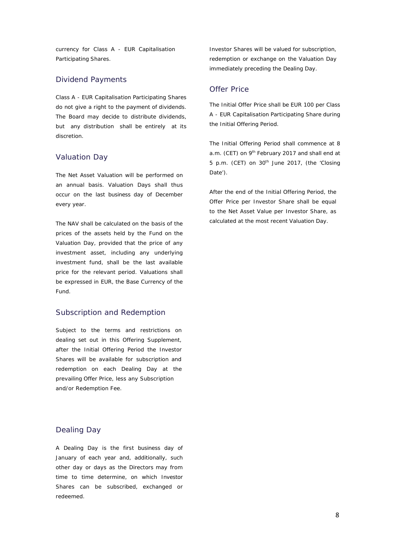currency for Class A - EUR Capitalisation Participating Shares.

### <span id="page-7-0"></span>Dividend Payments

Class A - EUR Capitalisation Participating Shares do not give a right to the payment of dividends. The Board may decide to distribute dividends, but any distribution shall be entirely at its discretion.

# <span id="page-7-1"></span>Valuation Day

The Net Asset Valuation will be performed on an annual basis. Valuation Days shall thus occur on the last business day of December every year.

The NAV shall be calculated on the basis of the prices of the assets held by the Fund on the Valuation Day, provided that the price of any investment asset, including any underlying investment fund, shall be the last available price for the relevant period. Valuations shall be expressed in EUR, the Base Currency of the Fund.

#### <span id="page-7-2"></span>Subscription and Redemption

Subject to the terms and restrictions on dealing set out in this Offering Supplement, after the Initial Offering Period the Investor Shares will be available for subscription and redemption on each Dealing Day at the prevailing Offer Price, less any Subscription and/or Redemption Fee.

#### <span id="page-7-3"></span>Dealing Day

A Dealing Day is the first business day of January of each year and, additionally, such other day or days as the Directors may from time to time determine, on which Investor Shares can be subscribed, exchanged or redeemed.

Investor Shares will be valued for subscription, redemption or exchange on the Valuation Day immediately preceding the Dealing Day.

# <span id="page-7-4"></span>Offer Price

The Initial Offer Price shall be EUR 100 per Class A - EUR Capitalisation Participating Share during the Initial Offering Period.

The Initial Offering Period shall commence at 8 a.m. (CET) on 9<sup>th</sup> February 2017 and shall end at 5 p.m. (CET) on 30<sup>th</sup> June 2017, (the 'Closing Date').

After the end of the Initial Offering Period, the Offer Price per Investor Share shall be equal to the Net Asset Value per Investor Share, as calculated at the most recent Valuation Day.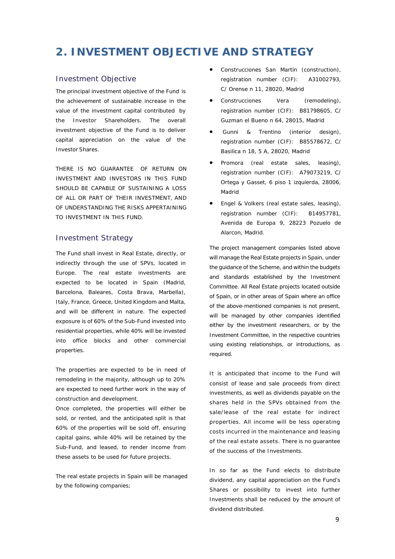# <span id="page-8-0"></span>**2. INVESTMENT OBJECTIVE AND STRATEGY**

#### <span id="page-8-1"></span>Investment Objective

The principal investment objective of the Fund is the achievement of sustainable increase in the value of the investment capital contributed by the Investor Shareholders. The overall investment objective of the Fund is to deliver capital appreciation on the value of the Investor Shares.

THERE IS NO GUARANTEE OF RETURN ON INVESTMENT AND INVESTORS IN THIS FUND SHOULD BE CAPABLE OF SUSTAINING A LOSS OF ALL OR PART OF THEIR INVESTMENT, AND OF UNDERSTANDING THE RISKS APPERTAINING TO INVESTMENT IN THIS FUND.

#### <span id="page-8-2"></span>Investment Strategy

The Fund shall invest in Real Estate, directly, or indirectly through the use of SPVs, located in Europe. The real estate investments are expected to be located in Spain (Madrid, Barcelona, Baleares, Costa Brava, Marbella), Italy, France, Greece, United Kingdom and Malta, and will be different in nature. The expected exposure is of 60% of the Sub-Fund invested into residential properties, while 40% will be invested into office blocks and other commercial properties.

The properties are expected to be in need of remodeling in the majority, although up to 20% are expected to need further work in the way of construction and development.

Once completed, the properties will either be sold, or rented, and the anticipated split is that 60% of the properties will be sold off, ensuring capital gains, while 40% will be retained by the Sub-Fund, and leased, to render income from these assets to be used for future projects.

The real estate projects in Spain will be managed by the following companies;

- Construcciones San Martin (construction), registration number (CIF): A31002793, C/ Orense n 11, 28020, Madrid
- Construcciones Vera (remodeling), registration number (CIF): B81798605, C/ Guzman el Bueno n 64, 28015, Madrid
- Gunni & Trentino (interior design), registration number (CIF): B85578672, C/ Basilica n 18, 5 A, 28020, Madrid
- Promora (real estate sales, leasing), registration number (CIF): A79073219, C/ Ortega y Gasset, 6 piso 1 izquierda, 28006, Madrid
- Engel & Volkers (real estate sales, leasing), registration number (CIF): B14957781, Avenida de Europa 9, 28223 Pozuelo de Alarcon, Madrid.

The project management companies listed above will manage the Real Estate projects in Spain, under the guidance of the Scheme, and within the budgets and standards established by the Investment Committee. All Real Estate projects located outside of Spain, or in other areas of Spain where an office of the above-mentioned companies is not present, will be managed by other companies identified either by the investment researchers, or by the Investment Committee, in the respective countries using existing relationships, or introductions, as required.

It is anticipated that income to the Fund will consist of lease and sale proceeds from direct investments, as well as dividends payable on the shares held in the SPVs obtained from the sale/lease of the real estate for indirect properties. All income will be less operating costs incurred in the maintenance and leasing of the real estate assets. There is no guarantee of the success of the Investments.

In so far as the Fund elects to distribute dividend, any capital appreciation on the Fund's Shares or possibility to invest into further Investments shall be reduced by the amount of dividend distributed.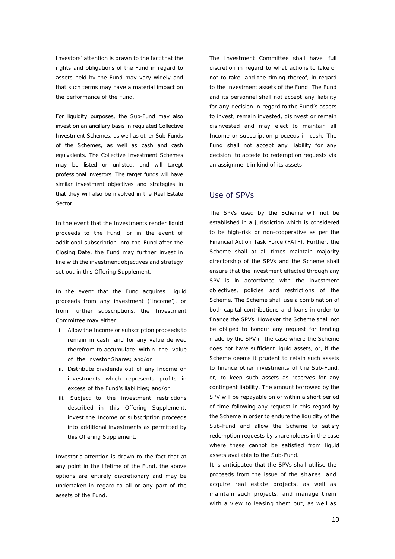Investors' attention is drawn to the fact that the rights and obligations of the Fund in regard to assets held by the Fund may vary widely and that such terms may have a material impact on the performance of the Fund.

For liquidity purposes, the Sub-Fund may also invest on an ancillary basis in regulated Collective Investment Schemes, as well as other Sub-Funds of the Schemes, as well as cash and cash equivalents. The Collective Investment Schemes may be listed or unlisted, and will taregt professional investors. The target funds will have similar investment objectives and strategies in that they will also be involved in the Real Estate Sector.

In the event that the Investments render liquid proceeds to the Fund, or in the event of additional subscription into the Fund after the Closing Date, the Fund may further invest in line with the investment objectives and strategy set out in this Offering Supplement.

In the event that the Fund acquires liquid proceeds from any investment ('Income'), or from further subscriptions, the Investment Committee may either:

- i. Allow the Income or subscription proceeds to remain in cash, and for any value derived therefrom to accumulate within the value of the Investor Shares; and/or
- ii. Distribute dividends out of any Income on investments which represents profits in excess of the Fund's liabilities; and/or
- iii. Subject to the investment restrictions described in this Offering Supplement, invest the Income or subscription proceeds into additional investments as permitted by this Offering Supplement.

Investor's attention is drawn to the fact that at any point in the lifetime of the Fund, the above options are entirely discretionary and may be undertaken in regard to all or any part of the assets of the Fund.

The Investment Committee shall have full discretion in regard to what actions to take or not to take, and the timing thereof, in regard to the investment assets of the Fund. The Fund and its personnel shall not accept any liability for any decision in regard to the Fund's assets to invest, remain invested, disinvest or remain disinvested and may elect to maintain all Income or subscription proceeds in cash. The Fund shall not accept any liability for any decision to accede to redemption requests via an assignment in kind of its assets.

#### Use of SPVs

The SPVs used by the Scheme will not be established in a jurisdiction which is considered to be high-risk or non-cooperative as per the Financial Action Task Force (FATF). Further, the Scheme shall at all times maintain majority directorship of the SPVs and the Scheme shall ensure that the investment effected through any SPV is in accordance with the investment objectives, policies and restrictions of the Scheme. The Scheme shall use a combination of both capital contributions and loans in order to finance the SPVs. However the Scheme shall not be obliged to honour any request for lending made by the SPV in the case where the Scheme does not have sufficient liquid assets, or, if the Scheme deems it prudent to retain such assets to finance other investments of the Sub-Fund, or, to keep such assets as reserves for any contingent liability. The amount borrowed by the SPV will be repayable on or within a short period of time following any request in this regard by the Scheme in order to endure the liquidity of the Sub-Fund and allow the Scheme to satisfy redemption requests by shareholders in the case where these cannot be satisfied from liquid assets available to the Sub-Fund.

It is anticipated that the SPVs shall utilise the proceeds from the issue of the shares, and acquire real estate projects, as well as maintain such projects, and manage them with a view to leasing them out, as well as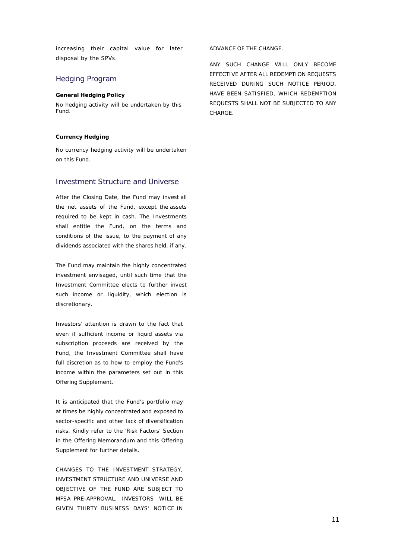increasing their capital value for later disposal by the SPVs.

#### <span id="page-10-0"></span>Hedging Program

#### **General Hedging Policy**

No hedging activity will be undertaken by this Fund.

#### **Currency Hedging**

No currency hedging activity will be undertaken on this Fund.

#### <span id="page-10-1"></span>Investment Structure and Universe

After the Closing Date, the Fund may invest all the net assets of the Fund, except the assets required to be kept in cash. The Investments shall entitle the Fund, on the terms and conditions of the issue, to the payment of any dividends associated with the shares held, if any.

The Fund may maintain the highly concentrated investment envisaged, until such time that the Investment Committee elects to further invest such income or liquidity, which election is discretionary.

Investors' attention is drawn to the fact that even if sufficient income or liquid assets via subscription proceeds are received by the Fund, the Investment Committee shall have full discretion as to how to employ the Fund's income within the parameters set out in this Offering Supplement.

It is anticipated that the Fund's portfolio may at times be highly concentrated and exposed to sector-specific and other lack of diversification risks. Kindly refer to the 'Risk Factors' Section in the Offering Memorandum and this Offering Supplement for further details.

CHANGES TO THE INVESTMENT STRATEGY, INVESTMENT STRUCTURE AND UNIVERSE AND OBJECTIVE OF THE FUND ARE SUBJECT TO MFSA PRE-APPROVAL. INVESTORS WILL BE GIVEN THIRTY BUSINESS DAYS' NOTICE IN ADVANCE OF THE CHANGE.

ANY SUCH CHANGE WILL ONLY BECOME EFFECTIVE AFTER ALL REDEMPTION REQUESTS RECEIVED DURING SUCH NOTICE PERIOD, HAVE BEEN SATISFIED, WHICH REDEMPTION REQUESTS SHALL NOT BE SUBJECTED TO ANY CHARGE.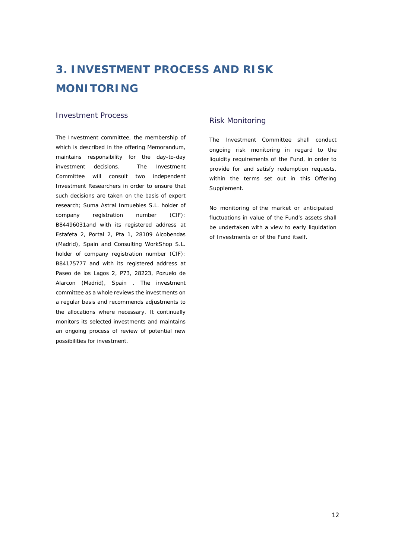# <span id="page-11-0"></span>**3. INVESTMENT PROCESS AND RISK MONITORING**

### <span id="page-11-1"></span>Investment Process

The Investment committee, the membership of which is described in the offering Memorandum, maintains responsibility for the day-to-day investment decisions. The Investment Committee will consult two independent Investment Researchers in order to ensure that such decisions are taken on the basis of expert research; Suma Astral Inmuebles S.L. holder of company registration number (CIF): B84496031and with its registered address at Estafeta 2, Portal 2, Pta 1, 28109 Alcobendas (Madrid), Spain and Consulting WorkShop S.L. holder of company registration number (CIF): B84175777 and with its registered address at Paseo de los Lagos 2, P73, 28223, Pozuelo de Alarcon (Madrid), Spain . The investment committee as a whole reviews the investments on a regular basis and recommends adjustments to the allocations where necessary. It continually monitors its selected investments and maintains an ongoing process of review of potential new possibilities for investment.

# <span id="page-11-2"></span>Risk Monitoring

The Investment Committee shall conduct ongoing risk monitoring in regard to the liquidity requirements of the Fund, in order to provide for and satisfy redemption requests, within the terms set out in this Offering Supplement.

No monitoring of the market or anticipated fluctuations in value of the Fund's assets shall be undertaken with a view to early liquidation of Investments or of the Fund itself.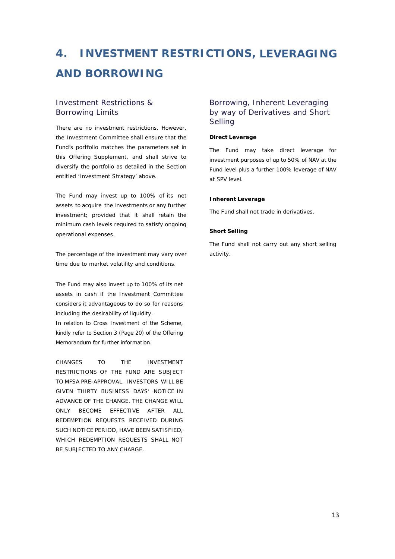# <span id="page-12-0"></span>**4. INVESTMENT RESTRICTIONS, LEVERAGING AND BORROWING**

# <span id="page-12-1"></span>Investment Restrictions & Borrowing Limits

There are no investment restrictions. However, the Investment Committee shall ensure that the Fund's portfolio matches the parameters set in this Offering Supplement, and shall strive to diversify the portfolio as detailed in the Section entitled 'Investment Strategy' above.

The Fund may invest up to 100% of its net assets to acquire the Investments or any further investment; provided that it shall retain the minimum cash levels required to satisfy ongoing operational expenses.

The percentage of the investment may vary over time due to market volatility and conditions.

The Fund may also invest up to 100% of its net assets in cash if the Investment Committee considers it advantageous to do so for reasons including the desirability of liquidity.

In relation to Cross Investment of the Scheme, kindly refer to Section 3 (Page 20) of the Offering Memorandum for further information.

CHANGES TO THE INVESTMENT RESTRICTIONS OF THE FUND ARE SUBJECT TO MFSA PRE-APPROVAL. INVESTORS WILL BE GIVEN THIRTY BUSINESS DAYS' NOTICE IN ADVANCE OF THE CHANGE. THE CHANGE WILL ONLY BECOME EFFECTIVE AFTER ALL REDEMPTION REQUESTS RECEIVED DURING SUCH NOTICE PERIOD, HAVE BEEN SATISFIED, WHICH REDEMPTION REQUESTS SHALL NOT BE SUBJECTED TO ANY CHARGE.

# <span id="page-12-2"></span>Borrowing, Inherent Leveraging by way of Derivatives and Short Selling

#### **Direct Leverage**

The Fund may take direct leverage for investment purposes of up to 50% of NAV at the Fund level plus a further 100% leverage of NAV at SPV level.

#### **Inherent Leverage**

The Fund shall not trade in derivatives.

#### **Short Selling**

The Fund shall not carry out any short selling activity.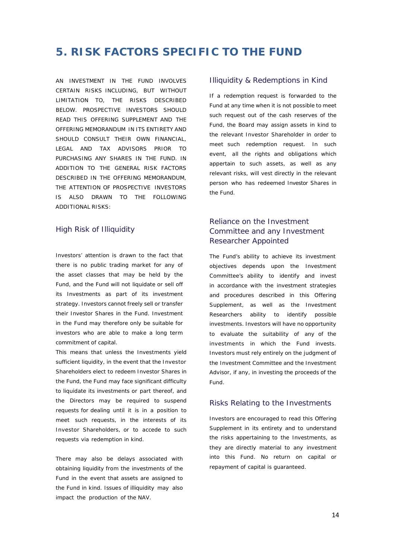# <span id="page-13-0"></span>**5. RISK FACTORS SPECIFIC TO THE FUND**

AN INVESTMENT IN THE FUND INVOLVES CERTAIN RISKS INCLUDING, BUT WITHOUT LIMITATION TO, THE RISKS DESCRIBED BELOW. PROSPECTIVE INVESTORS SHOULD READ THIS OFFERING SUPPLEMENT AND THE OFFERING MEMORANDUM IN ITS ENTIRETY AND SHOULD CONSULT THEIR OWN FINANCIAL. LEGAL AND TAX ADVISORS PRIOR TO PURCHASING ANY SHARES IN THE FUND. IN ADDITION TO THE GENERAL RISK FACTORS DESCRIBED IN THE OFFERING MEMORANDUM, THE ATTENTION OF PROSPECTIVE INVESTORS IS ALSO DRAWN TO THE FOLLOWING ADDITIONAL RISKS:

# <span id="page-13-1"></span>High Risk of Illiquidity

Investors' attention is drawn to the fact that there is no public trading market for any of the asset classes that may be held by the Fund, and the Fund will not liquidate or sell off its Investments as part of its investment strategy. Investors cannot freely sell or transfer their Investor Shares in the Fund. Investment in the Fund may therefore only be suitable for investors who are able to make a long term commitment of capital.

This means that unless the Investments yield sufficient liquidity, in the event that the Investor Shareholders elect to redeem Investor Shares in the Fund, the Fund may face significant difficulty to liquidate its investments or part thereof, and the Directors may be required to suspend requests for dealing until it is in a position to meet such requests, in the interests of its Investor Shareholders, or to accede to such requests via redemption in kind.

There may also be delays associated with obtaining liquidity from the investments of the Fund in the event that assets are assigned to the Fund in kind. Issues of illiquidity may also impact the production of the NAV.

#### <span id="page-13-2"></span>Illiquidity & Redemptions in Kind

If a redemption request is forwarded to the Fund at any time when it is not possible to meet such request out of the cash reserves of the Fund, the Board may assign assets in kind to the relevant Investor Shareholder in order to meet such redemption request. In such event, all the rights and obligations which appertain to such assets, as well as any relevant risks, will vest directly in the relevant person who has redeemed Investor Shares in the Fund.

# <span id="page-13-3"></span>Reliance on the Investment Committee and any Investment Researcher Appointed

The Fund's ability to achieve its investment objectives depends upon the Investment Committee's ability to identify and invest in accordance with the investment strategies and procedures described in this Offering Supplement, as well as the Investment Researchers ability to identify possible investments. Investors will have no opportunity to evaluate the suitability of any of the investments in which the Fund invests. Investors must rely entirely on the judgment of the Investment Committee and the Investment Advisor, if any, in investing the proceeds of the Fund.

#### <span id="page-13-4"></span>Risks Relating to the Investments

Investors are encouraged to read this Offering Supplement in its entirety and to understand the risks appertaining to the Investments, as they are directly material to any investment into this Fund. No return on capital or repayment of capital is guaranteed.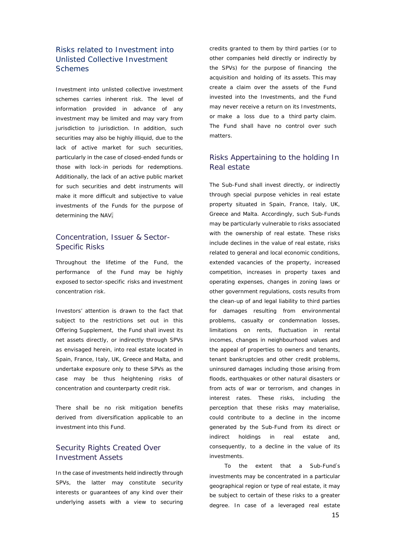# Risks related to Investment into Unlisted Collective Investment **Schemes**

Investment into unlisted collective investment schemes carries inherent risk. The level of information provided in advance of any investment may be limited and may vary from jurisdiction to jurisdiction. In addition, such securities may also be highly illiquid, due to the lack of active market for such securities, particularly in the case of closed-ended funds or those with lock-in periods for redemptions. Additionally, the lack of an active public market for such securities and debt instruments will make it more difficult and subjective to value investments of the Funds for the purpose of determining the NAV.

# <span id="page-14-0"></span>Concentration, Issuer & Sector-Specific Risks

Throughout the lifetime of the Fund, the performance of the Fund may be highly exposed to sector-specific risks and investment concentration risk.

Investors' attention is drawn to the fact that subject to the restrictions set out in this Offering Supplement, the Fund shall invest its net assets directly, or indirectly through SPVs as envisaged herein, into real estate located in Spain, France, Italy, UK, Greece and Malta, and undertake exposure only to these SPVs as the case may be thus heightening risks of concentration and counterparty credit risk.

There shall be no risk mitigation benefits derived from diversification applicable to an investment into this Fund.

# <span id="page-14-2"></span><span id="page-14-1"></span>Security Rights Created Over Investment Assets

In the case of investments held indirectly through SPVs, the latter may constitute security interests or guarantees of any kind over their underlying assets with a view to securing

credits granted to them by third parties (or to other companies held directly or indirectly by the SPVs) for the purpose of financing the acquisition and holding of its assets. This may create a claim over the assets of the Fund invested into the Investments, and the Fund may never receive a return on its Investments, or make a loss due to a third party claim. The Fund shall have no control over such matters.

# <span id="page-14-3"></span>Risks Appertaining to the holding In Real estate

The Sub-Fund shall invest directly, or indirectly through special purpose vehicles in real estate property situated in Spain, France, Italy, UK, Greece and Malta. Accordingly, such Sub-Funds may be particularly vulnerable to risks associated with the ownership of real estate. These risks include declines in the value of real estate, risks related to general and local economic conditions, extended vacancies of the property, increased competition, increases in property taxes and operating expenses, changes in zoning laws or other government regulations, costs results from the clean-up of and legal liability to third parties for damages resulting from environmental problems, casualty or condemnation losses, limitations on rents, fluctuation in rental incomes, changes in neighbourhood values and the appeal of properties to owners and tenants, tenant bankruptcies and other credit problems, uninsured damages including those arising from floods, earthquakes or other natural disasters or from acts of war or terrorism, and changes in interest rates. These risks, including the perception that these risks may materialise, could contribute to a decline in the income generated by the Sub-Fund from its direct or indirect holdings in real estate and, consequently, to a decline in the value of its investments.

 To the extent that a Sub-Fund's investments may be concentrated in a particular geographical region or type of real estate, it may be subject to certain of these risks to a greater degree. In case of a leveraged real estate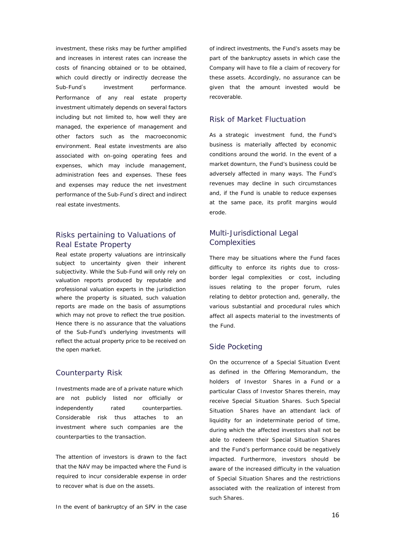investment, these risks may be further amplified and increases in interest rates can increase the costs of financing obtained or to be obtained, which could directly or indirectly decrease the Sub-Fund's investment performance. Performance of any real estate property investment ultimately depends on several factors including but not limited to, how well they are managed, the experience of management and other factors such as the macroeconomic environment. Real estate investments are also associated with on-going operating fees and expenses, which may include management, administration fees and expenses. These fees and expenses may reduce the net investment performance of the Sub-Fund's direct and indirect real estate investments.

# Risks pertaining to Valuations of Real Estate Property

Real estate property valuations are intrinsically subject to uncertainty given their inherent subjectivity. While the Sub-Fund will only rely on valuation reports produced by reputable and professional valuation experts in the jurisdiction where the property is situated, such valuation reports are made on the basis of assumptions which may not prove to reflect the true position. Hence there is no assurance that the valuations of the Sub-Fund's underlying investments will reflect the actual property price to be received on the open market.

#### <span id="page-15-0"></span>Counterparty Risk

Investments made are of a private nature which are not publicly listed nor officially or independently rated counterparties. Considerable risk thus attaches to an investment where such companies are the counterparties to the transaction.

The attention of investors is drawn to the fact that the NAV may be impacted where the Fund is required to incur considerable expense in order to recover what is due on the assets.

In the event of bankruptcy of an SPV in the case

of indirect investments, the Fund's assets may be part of the bankruptcy assets in which case the Company will have to file a claim of recovery for these assets. Accordingly, no assurance can be given that the amount invested would be recoverable.

# <span id="page-15-1"></span>Risk of Market Fluctuation

As a strategic investment fund, the Fund's business is materially affected by economic conditions around the world. In the event of a market downturn, the Fund's business could be adversely affected in many ways. The Fund's revenues may decline in such circumstances and, if the Fund is unable to reduce expenses at the same pace, its profit margins would erode.

# <span id="page-15-3"></span><span id="page-15-2"></span>Multi-Jurisdictional Legal **Complexities**

There may be situations where the Fund faces difficulty to enforce its rights due to crossborder legal complexities or cost, including issues relating to the proper forum, rules relating to debtor protection and, generally, the various substantial and procedural rules which affect all aspects material to the investments of the Fund.

### <span id="page-15-4"></span>Side Pocketing

On the occurrence of a Special Situation Event as defined in the Offering Memorandum, the holders of Investor Shares in a Fund or a particular Class of Investor Shares therein, may receive Special Situation Shares. Such Special Situation Shares have an attendant lack of liquidity for an indeterminate period of time, during which the affected investors shall not be able to redeem their Special Situation Shares and the Fund's performance could be negatively impacted. Furthermore, investors should be aware of the increased difficulty in the valuation of Special Situation Shares and the restrictions associated with the realization of interest from such Shares.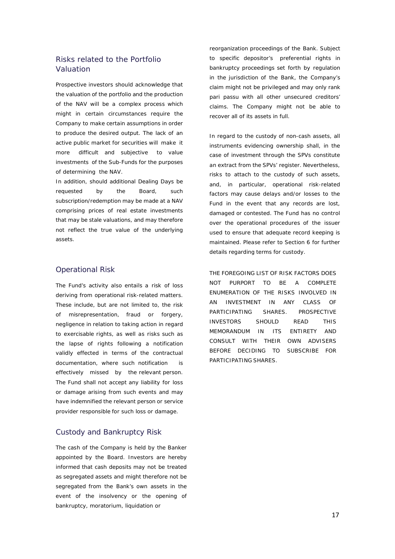# Risks related to the Portfolio Valuation

Prospective investors should acknowledge that the valuation of the portfolio and the production of the NAV will be a complex process which might in certain circumstances require the Company to make certain assumptions in order to produce the desired output. The lack of an active public market for securities will make it more difficult and subjective to value investments of the Sub-Funds for the purposes of determining the NAV.

In addition, should additional Dealing Days be requested by the Board, such subscription/redemption may be made at a NAV comprising prices of real estate investments that may be stale valuations, and may therefore not reflect the true value of the underlying assets.

#### <span id="page-16-0"></span>Operational Risk

The Fund's activity also entails a risk of loss deriving from operational risk-related matters. These include, but are not limited to, the risk of misrepresentation, fraud or forgery, negligence in relation to taking action in regard to exercisable rights, as well as risks such as the lapse of rights following a notification validly effected in terms of the contractual documentation, where such notification is effectively missed by the relevant person. The Fund shall not accept any liability for loss or damage arising from such events and may have indemnified the relevant person or service provider responsible for such loss or damage.

#### <span id="page-16-1"></span>Custody and Bankruptcy Risk

The cash of the Company is held by the Banker appointed by the Board. Investors are hereby informed that cash deposits may not be treated as segregated assets and might therefore not be segregated from the Bank's own assets in the event of the insolvency or the opening of bankruptcy, moratorium, liquidation or

reorganization proceedings of the Bank. Subject to specific depositor's preferential rights in bankruptcy proceedings set forth by regulation in the jurisdiction of the Bank, the Company's claim might not be privileged and may only rank pari passu with all other unsecured creditors' claims. The Company might not be able to recover all of its assets in full.

In regard to the custody of non-cash assets, all instruments evidencing ownership shall, in the case of investment through the SPVs constitute an extract from the SPVs' register. Nevertheless, risks to attach to the custody of such assets, and, in particular, operational risk-related factors may cause delays and/or losses to the Fund in the event that any records are lost, damaged or contested. The Fund has no control over the operational procedures of the issuer used to ensure that adequate record keeping is maintained. Please refer to Section 6 for further details regarding terms for custody.

THE FOREGOING LIST OF RISK FACTORS DOES NOT PURPORT TO BE A COMPLETE ENUMERATION OF THE RISKS INVOLVED IN AN INVESTMENT IN ANY CLASS OF PARTICIPATING SHARES. PROSPECTIVE INVESTORS SHOULD READ THIS MEMORANDUM IN ITS ENTIRETY AND CONSULT WITH THEIR OWN ADVISERS BEFORE DECIDING TO SUBSCRIBE FOR PARTICIPATING SHARES.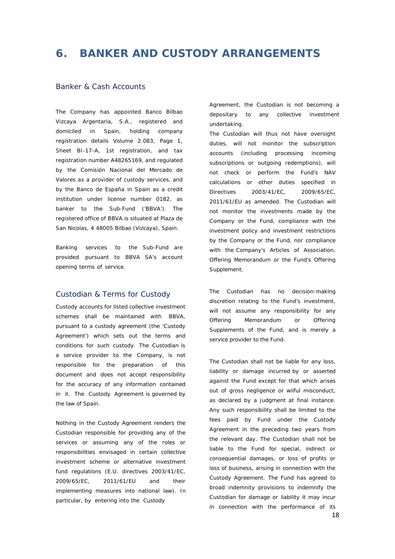# <span id="page-17-0"></span>**6. BANKER AND CUSTODY ARRANGEMENTS**

#### <span id="page-17-1"></span>Banker & Cash Accounts

The Company has appointed Banco Bilbao Vizcaya Argentaria, S.A., registered and domiciled in Spain, holding company registration details Volume 2.083, Page 1, Sheet BI-17-A, 1st registration, and tax registration number A48265169, and regulated by the Comisión Nacional del Mercado de Valores as a provider of custody services, and by the Banco de España in Spain as a credit institution under license number 0182, as banker to the Sub-Fund ('BBVA'). The registered office of BBVA is situated at Plaza de San Nicolas, 4 48005 Bilbao (Vizcaya), Spain.

Banking services to the Sub-Fund are provided pursuant to BBVA SA's account opening terms of service.

#### Custodian & Terms for Custody

Custody accounts for listed collective investment schemes shall be maintained with BBVA, pursuant to a custody agreement (the 'Custody Agreement') which sets out the terms and conditions for such custody. The Custodian is a service provider to the Company, is not responsible for the preparation of this document and does not accept responsibility for the accuracy of any information contained in it. The Custody Agreement is governed by the law of Spain.

Nothing in the Custody Agreement renders the Custodian responsible for providing any of the services or assuming any of the roles or responsibilities envisaged in certain collective investment scheme or alternative investment fund regulations (E.U. directives 2003/41/EC, 2009/65/EC, 2011/61/EU and their implementing measures into national law). In particular, by entering into the Custody

Agreement, the Custodian is not becoming a depositary to any collective investment undertaking.

The Custodian will thus not have oversight duties, will not monitor the subscription accounts (including processing incoming subscriptions or outgoing redemptions), will not check or perform the Fund's NAV calculations or other duties specified in Directives 2003/41/EC, 2009/65/EC, 2011/61/EU as amended. The Custodian will not monitor the investments made by the Company or the Fund, compliance with the investment policy and investment restrictions by the Company or the Fund, nor compliance with the Company's Articles of Association, Offering Memorandum or the Fund's Offering Supplement.

The Custodian has no decision-making discretion relating to the Fund's investment, will not assume any responsibility for any Offering Memorandum or Offering Supplements of the Fund, and is merely a service provider to the Fund.

The Custodian shall not be liable for any loss, liability or damage incurred by or asserted against the Fund except for that which arises out of gross negligence or wilful misconduct, as declared by a judgment at final instance. Any such responsibility shall be limited to the fees paid by Fund under the Custody Agreement in the preceding two years from the relevant day. The Custodian shall not be liable to the Fund for special, indirect or consequential damages, or loss of profits or loss of business, arising in connection with the Custody Agreement. The Fund has agreed to broad indemnity provisions to indemnify the Custodian for damage or liability it may incur in connection with the performance of its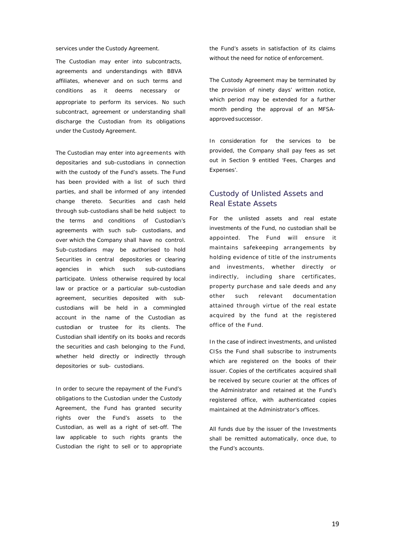services under the Custody Agreement.

The Custodian may enter into subcontracts, agreements and understandings with BBVA affiliates, whenever and on such terms and conditions as it deems necessary or appropriate to perform its services. No such subcontract, agreement or understanding shall discharge the Custodian from its obligations under the Custody Agreement.

The Custodian may enter into agreements with depositaries and sub-custodians in connection with the custody of the Fund's assets. The Fund has been provided with a list of such third parties, and shall be informed of any intended change thereto. Securities and cash held through sub-custodians shall be held subject to the terms and conditions of Custodian's agreements with such sub- custodians, and over which the Company shall have no control. Sub-custodians may be authorised to hold Securities in central depositories or clearing agencies in which such sub-custodians participate. Unless otherwise required by local law or practice or a particular sub-custodian agreement, securities deposited with subcustodians will be held in a commingled account in the name of the Custodian as custodian or trustee for its clients. The Custodian shall identify on its books and records the securities and cash belonging to the Fund, whether held directly or indirectly through depositories or sub- custodians.

In order to secure the repayment of the Fund's obligations to the Custodian under the Custody Agreement, the Fund has granted security rights over the Fund's assets to the Custodian, as well as a right of set-off. The law applicable to such rights grants the Custodian the right to sell or to appropriate the Fund's assets in satisfaction of its claims without the need for notice of enforcement.

The Custody Agreement may be terminated by the provision of ninety days' written notice, which period may be extended for a further month pending the approval of an MFSAapproved successor.

In consideration for the services to be provided, the Company shall pay fees as set out in Section 9 entitled 'Fees, Charges and Expenses'.

# <span id="page-18-0"></span>Custody of Unlisted Assets and Real Estate Assets

For the unlisted assets and real estate investments of the Fund, no custodian shall be appointed. The Fund will ensure it maintains safekeeping arrangements by holding evidence of title of the instruments and investments, whether directly or indirectly, including share certificates, property purchase and sale deeds and any other such relevant documentation attained through virtue of the real estate acquired by the fund at the registered office of the Fund.

In the case of indirect investments, and unlisted CISs the Fund shall subscribe to instruments which are registered on the books of their issuer. Copies of the certificates acquired shall be received by secure courier at the offices of the Administrator and retained at the Fund's registered office, with authenticated copies maintained at the Administrator's offices.

All funds due by the issuer of the Investments shall be remitted automatically, once due, to the Fund's accounts.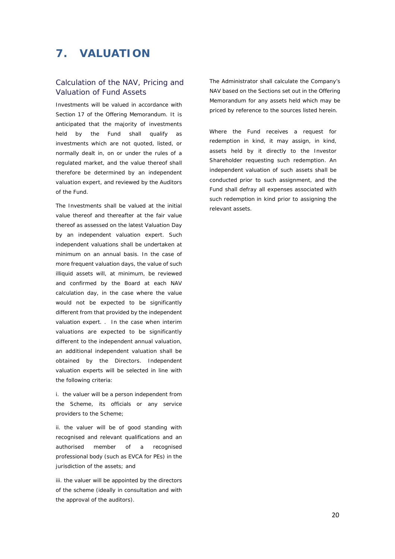# <span id="page-19-0"></span>**7. VALUATION**

# <span id="page-19-1"></span>Calculation of the NAV, Pricing and Valuation of Fund Assets

Investments will be valued in accordance with Section 17 of the Offering Memorandum. It is anticipated that the majority of investments held by the Fund shall qualify as investments which are not quoted, listed, or normally dealt in, on or under the rules of a regulated market, and the value thereof shall therefore be determined by an independent valuation expert, and reviewed by the Auditors of the Fund.

The Investments shall be valued at the initial value thereof and thereafter at the fair value thereof as assessed on the latest Valuation Day by an independent valuation expert. Such independent valuations shall be undertaken at minimum on an annual basis. In the case of more frequent valuation days, the value of such illiquid assets will, at minimum, be reviewed and confirmed by the Board at each NAV calculation day, in the case where the value would not be expected to be significantly different from that provided by the independent valuation expert. . In the case when interim valuations are expected to be significantly different to the independent annual valuation, an additional independent valuation shall be obtained by the Directors. Independent valuation experts will be selected in line with the following criteria:

i. the valuer will be a person independent from the Scheme, its officials or any service providers to the Scheme;

ii. the valuer will be of good standing with recognised and relevant qualifications and an authorised member of a recognised professional body (such as EVCA for PEs) in the jurisdiction of the assets; and

iii. the valuer will be appointed by the directors of the scheme (ideally in consultation and with the approval of the auditors).

The Administrator shall calculate the Company's NAV based on the Sections set out in the Offering Memorandum for any assets held which may be priced by reference to the sources listed herein.

Where the Fund receives a request for redemption in kind, it may assign, in kind, assets held by it directly to the Investor Shareholder requesting such redemption. An independent valuation of such assets shall be conducted prior to such assignment, and the Fund shall defray all expenses associated with such redemption in kind prior to assigning the relevant assets.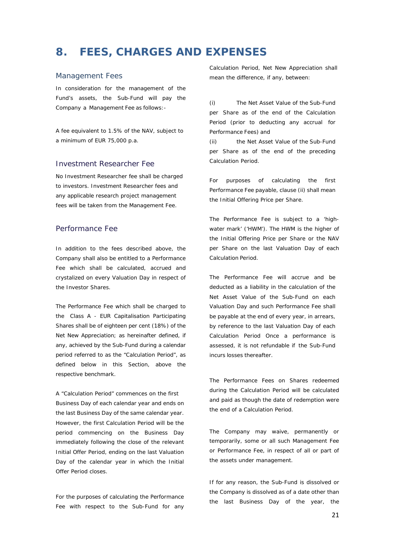# <span id="page-20-0"></span>**8. FEES, CHARGES AND EXPENSES**

#### <span id="page-20-1"></span>Management Fees

In consideration for the management of the Fund's assets, the Sub-Fund will pay the Company a Management Fee as follows:-

A fee equivalent to 1.5% of the NAV, subject to a minimum of EUR 75,000 p.a.

#### Investment Researcher Fee

No Investment Researcher fee shall be charged to investors. Investment Researcher fees and any applicable research project management fees will be taken from the Management Fee.

# <span id="page-20-2"></span>Performance Fee

In addition to the fees described above, the Company shall also be entitled to a Performance Fee which shall be calculated, accrued and crystalized on every Valuation Day in respect of the Investor Shares.

The Performance Fee which shall be charged to the Class A - EUR Capitalisation Participating Shares shall be of eighteen per cent (18%) of the Net New Appreciation; as hereinafter defined, if any, achieved by the Sub-Fund during a calendar period referred to as the "Calculation Period", as defined below in this Section, above the respective benchmark.

A "Calculation Period" commences on the first Business Day of each calendar year and ends on the last Business Day of the same calendar year. However, the first Calculation Period will be the period commencing on the Business Day immediately following the close of the relevant Initial Offer Period, ending on the last Valuation Day of the calendar year in which the Initial Offer Period closes.

For the purposes of calculating the Performance Fee with respect to the Sub-Fund for any Calculation Period, Net New Appreciation shall mean the difference, if any, between:

(i) The Net Asset Value of the Sub-Fund per Share as of the end of the Calculation Period (prior to deducting any accrual for Performance Fees) and

(ii) the Net Asset Value of the Sub-Fund per Share as of the end of the preceding Calculation Period.

For purposes of calculating the first Performance Fee payable, clause (ii) shall mean the Initial Offering Price per Share.

The Performance Fee is subject to a 'highwater mark' ('HWM'). The HWM is the higher of the Initial Offering Price per Share or the NAV per Share on the last Valuation Day of each Calculation Period.

The Performance Fee will accrue and be deducted as a liability in the calculation of the Net Asset Value of the Sub-Fund on each Valuation Day and such Performance Fee shall be payable at the end of every year, in arrears, by reference to the last Valuation Day of each Calculation Period Once a performance is assessed, it is not refundable if the Sub-Fund incurs losses thereafter.

The Performance Fees on Shares redeemed during the Calculation Period will be calculated and paid as though the date of redemption were the end of a Calculation Period.

The Company may waive, permanently or temporarily, some or all such Management Fee or Performance Fee, in respect of all or part of the assets under management.

If for any reason, the Sub-Fund is dissolved or the Company is dissolved as of a date other than the last Business Day of the year, the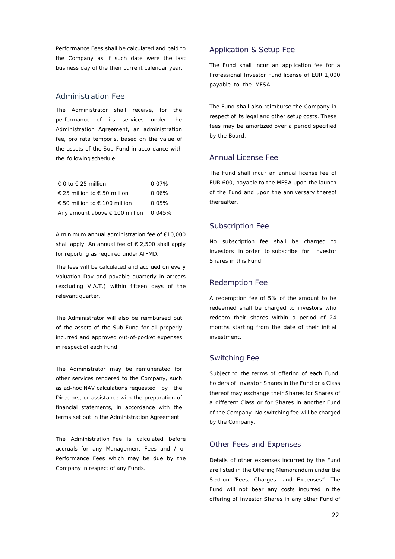Performance Fees shall be calculated and paid to the Company as if such date were the last business day of the then current calendar year.

#### Administration Fee

The Administrator shall receive, for the performance of its services under the Administration Agreement, an administration fee, pro rata temporis, based on the value of the assets of the Sub-Fund in accordance with the following schedule:

| $\in$ 0 to $\in$ 25 million                    | $0.07\%$ |
|------------------------------------------------|----------|
| € 25 million to $∈$ 50 million                 | $0.06\%$ |
| € 50 million to € 100 million                  | $0.05\%$ |
| Any amount above $\epsilon$ 100 million 0.045% |          |

A minimum annual administration fee of €10,000 shall apply. An annual fee of  $\epsilon$  2,500 shall apply for reporting as required under AIFMD.

The fees will be calculated and accrued on every Valuation Day and payable quarterly in arrears (excluding V.A.T.) within fifteen days of the relevant quarter.

The Administrator will also be reimbursed out of the assets of the Sub-Fund for all properly incurred and approved out-of-pocket expenses in respect of each Fund.

The Administrator may be remunerated for other services rendered to the Company, such as ad-hoc NAV calculations requested by the Directors, or assistance with the preparation of financial statements, in accordance with the terms set out in the Administration Agreement.

The Administration Fee is calculated before accruals for any Management Fees and / or Performance Fees which may be due by the Company in respect of any Funds.

### <span id="page-21-0"></span>Application & Setup Fee

The Fund shall incur an application fee for a Professional Investor Fund license of EUR 1,000 payable to the MFSA.

The Fund shall also reimburse the Company in respect of its legal and other setup costs. These fees may be amortized over a period specified by the Board.

# <span id="page-21-1"></span>Annual License Fee

The Fund shall incur an annual license fee of EUR 600, payable to the MFSA upon the launch of the Fund and upon the anniversary thereof thereafter.

#### <span id="page-21-2"></span>Subscription Fee

No subscription fee shall be charged to investors in order to subscribe for Investor Shares in this Fund.

#### <span id="page-21-3"></span>Redemption Fee

A redemption fee of 5% of the amount to be redeemed shall be charged to investors who redeem their shares within a period of 24 months starting from the date of their initial investment.

#### <span id="page-21-4"></span>Switching Fee

Subject to the terms of offering of each Fund, holders of Investor Shares in the Fund or a Class thereof may exchange their Shares for Shares of a different Class or for Shares in another Fund of the Company. No switching fee will be charged by the Company.

#### <span id="page-21-5"></span>Other Fees and Expenses

Details of other expenses incurred by the Fund are listed in the Offering Memorandum under the Section "Fees, Charges and Expenses". The Fund will not bear any costs incurred in the offering of Investor Shares in any other Fund of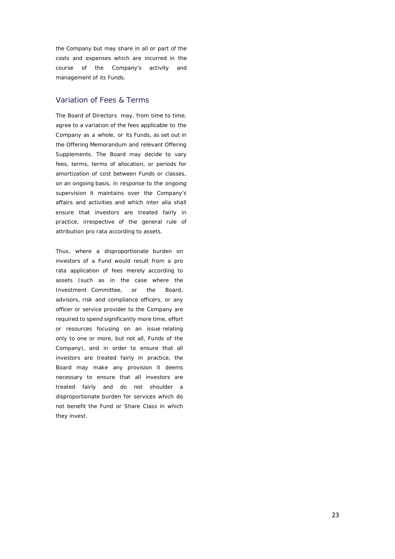the Company but may share in all or part of the costs and expenses which are incurred in the course of the Company's activity and management of its Funds.

# <span id="page-22-0"></span>Variation of Fees & Terms

The Board of Directors may, from time to time, agree to a variation of the fees applicable to the Company as a whole, or its Funds, as set out in the Offering Memorandum and relevant Offering Supplements. The Board may decide to vary fees, terms, terms of allocation, or periods for amortization of cost between Funds or classes, on an ongoing basis, in response to the ongoing supervision it maintains over the Company's affairs and activities and which *inter alia* shall ensure that investors are treated fairly in practice, irrespective of the general rule of attribution *pro rata* according to assets.

Thus, where a disproportionate burden on investors of a Fund would result from a *pro rata* application of fees merely according to assets (such as in the case where the Investment Committee, or the Board, advisors, risk and compliance officers, or any officer or service provider to the Company are required to spend significantly more time, effort or resources focusing on an issue relating only to one or more, but not all, Funds of the Company), and in order to ensure that all investors are treated fairly in practice, the Board may make any provision it deems necessary to ensure that all investors are treated fairly and do not shoulder a disproportionate burden for services which do not benefit the Fund or Share Class in which they invest.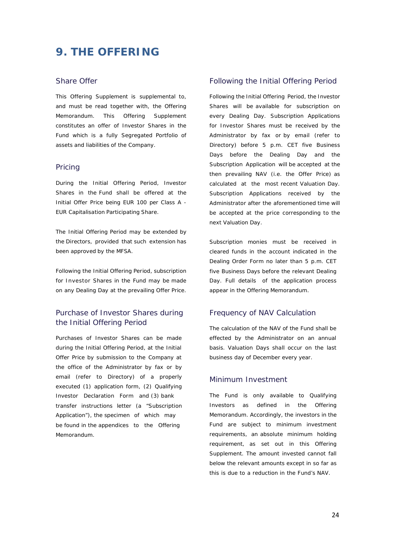# <span id="page-23-0"></span>**9. THE OFFERING**

#### <span id="page-23-1"></span>Share Offer

This Offering Supplement is supplemental to, and must be read together with, the Offering Memorandum. This Offering Supplement constitutes an offer of Investor Shares in the Fund which is a fully Segregated Portfolio of assets and liabilities of the Company.

#### <span id="page-23-2"></span>Pricing

During the Initial Offering Period, Investor Shares in the Fund shall be offered at the Initial Offer Price being EUR 100 per Class A - EUR Capitalisation Participating Share.

The Initial Offering Period may be extended by the Directors, provided that such extension has been approved by the MFSA.

Following the Initial Offering Period, subscription for Investor Shares in the Fund may be made on any Dealing Day at the prevailing Offer Price.

# <span id="page-23-3"></span>Purchase of Investor Shares during the Initial Offering Period

Purchases of Investor Shares can be made during the Initial Offering Period, at the Initial Offer Price by submission to the Company at the office of the Administrator by fax or by email (refer to Directory) of a properly executed (1) application form, (2) Qualifying Investor Declaration Form and (3) bank transfer instructions letter (a "Subscription Application"), the specimen of which may be found in the appendices to the Offering Memorandum.

#### <span id="page-23-4"></span>Following the Initial Offering Period

Following the Initial Offering Period, the Investor Shares will be available for subscription on every Dealing Day. Subscription Applications for Investor Shares must be received by the Administrator by fax or by email (refer to Directory) before 5 p.m. CET five Business Days before the Dealing Day and the Subscription Application will be accepted at the then prevailing NAV (i.e. the Offer Price) as calculated at the most recent Valuation Day. Subscription Applications received by the Administrator after the aforementioned time will be accepted at the price corresponding to the next Valuation Day.

Subscription monies must be received in cleared funds in the account indicated in the Dealing Order Form no later than 5 p.m. CET five Business Days before the relevant Dealing Day. Full details of the application process appear in the Offering Memorandum.

#### <span id="page-23-5"></span>Frequency of NAV Calculation

The calculation of the NAV of the Fund shall be effected by the Administrator on an annual basis. Valuation Days shall occur on the last business day of December every year.

#### <span id="page-23-6"></span>Minimum Investment

The Fund is only available to Qualifying Investors as defined in the Offering Memorandum. Accordingly, the investors in the Fund are subject to minimum investment requirements, an absolute minimum holding requirement, as set out in this Offering Supplement. The amount invested cannot fall below the relevant amounts except in so far as this is due to a reduction in the Fund's NAV.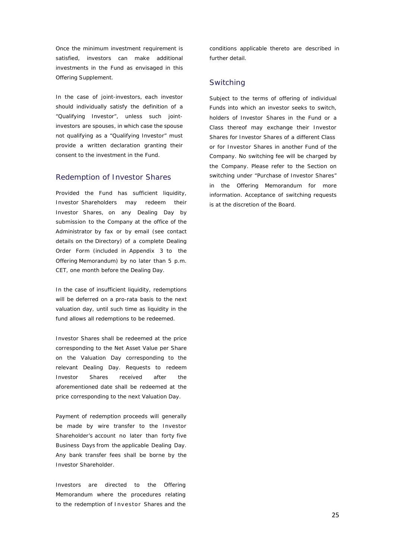Once the minimum investment requirement is satisfied, investors can make additional investments in the Fund as envisaged in this Offering Supplement.

In the case of joint-investors, each investor should individually satisfy the definition of a "Qualifying Investor", unless such jointinvestors are spouses, in which case the spouse not qualifying as a "Qualifying Investor" must provide a written declaration granting their consent to the investment in the Fund.

#### <span id="page-24-0"></span>Redemption of Investor Shares

Provided the Fund has sufficient liquidity, Investor Shareholders may redeem their Investor Shares, on any Dealing Day by submission to the Company at the office of the Administrator by fax or by email (see contact details on the Directory) of a complete Dealing Order Form (included in Appendix 3 to the Offering Memorandum) by no later than 5 p.m. CET, one month before the Dealing Day.

In the case of insufficient liquidity, redemptions will be deferred on a pro-rata basis to the next valuation day, until such time as liquidity in the fund allows all redemptions to be redeemed.

Investor Shares shall be redeemed at the price corresponding to the Net Asset Value per Share on the Valuation Day corresponding to the relevant Dealing Day. Requests to redeem Investor Shares received after the aforementioned date shall be redeemed at the price corresponding to the next Valuation Day.

Payment of redemption proceeds will generally be made by wire transfer to the Investor Shareholder's account no later than forty five Business Days from the applicable Dealing Day. Any bank transfer fees shall be borne by the Investor Shareholder.

Investors are directed to the Offering Memorandum where the procedures relating to the redemption of Investor Shares and the

conditions applicable thereto are described in further detail.

#### <span id="page-24-1"></span>Switching

Subject to the terms of offering of individual Funds into which an investor seeks to switch, holders of Investor Shares in the Fund or a Class thereof may exchange their Investor Shares for Investor Shares of a different Class or for Investor Shares in another Fund of the Company. No switching fee will be charged by the Company. Please refer to the Section on switching under "Purchase of Investor Shares" in the Offering Memorandum for more information. Acceptance of switching requests is at the discretion of the Board.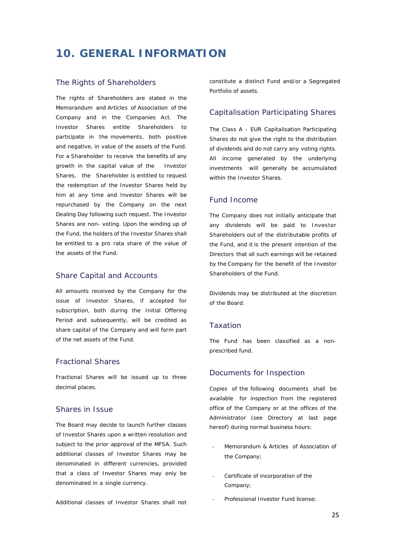# <span id="page-25-0"></span>**10. GENERAL INFORMATION**

#### <span id="page-25-1"></span>The Rights of Shareholders

The rights of Shareholders are stated in the Memorandum and Articles of Association of the Company and in the Companies Act. The Investor Shares entitle Shareholders to participate in the movements, both positive and negative, in value of the assets of the Fund. For a Shareholder to receive the benefits of any growth in the capital value of the Investor Shares, the Shareholder is entitled to request the redemption of the Investor Shares held by him at any time and Investor Shares will be repurchased by the Company on the next Dealing Day following such request. The Investor Shares are non- voting. Upon the winding up of the Fund, the holders of the Investor Shares shall be entitled to a pro rata share of the value of the assets of the Fund.

#### <span id="page-25-2"></span>Share Capital and Accounts

All amounts received by the Company for the issue of Investor Shares, if accepted for subscription, both during the Initial Offering Period and subsequently, will be credited as share capital of the Company and will form part of the net assets of the Fund.

#### <span id="page-25-3"></span>Fractional Shares

Fractional Shares will be issued up to three decimal places.

### <span id="page-25-4"></span>Shares in Issue

The Board may decide to launch further classes of Investor Shares upon a written resolution and subject to the prior approval of the MFSA. Such additional classes of Investor Shares may be denominated in different currencies, provided that a class of Investor Shares may only be denominated in a single currency.

Additional classes of Investor Shares shall not

constitute a distinct Fund and/or a Segregated Portfolio of assets.

#### <span id="page-25-5"></span>Capitalisation Participating Shares

The Class A - EUR Capitalisation Participating Shares do not give the right to the distribution of dividends and do not carry any voting rights. All income generated by the underlying investments will generally be accumulated within the Investor Shares.

### <span id="page-25-6"></span>Fund Income

The Company does not initially anticipate that any dividends will be paid to Investor Shareholders out of the distributable profits of the Fund, and it is the present intention of the Directors that all such earnings will be retained by the Company for the benefit of the Investor Shareholders of the Fund.

Dividends may be distributed at the discretion of the Board.

#### <span id="page-25-7"></span>Taxation

The Fund has been classified as a nonprescribed fund.

#### <span id="page-25-8"></span>Documents for Inspection

Copies of the following documents shall be available for inspection from the registered office of the Company or at the offices of the Administrator (see Directory at last page hereof) during normal business hours:

- Memorandum & Articles of Association of the Company;
- Certificate of incorporation of the Company;
- Professional Investor Fund license: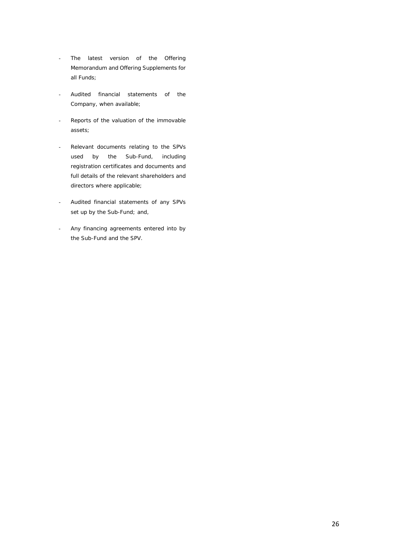- The latest version of the Offering Memorandum and Offering Supplements for all Funds;
- Audited financial statements of the Company, when available;
- Reports of the valuation of the immovable assets;
- Relevant documents relating to the SPVs used by the Sub-Fund, including registration certificates and documents and full details of the relevant shareholders and directors where applicable;
- Audited financial statements of any SPVs set up by the Sub-Fund; and,
- Any financing agreements entered into by the Sub-Fund and the SPV.